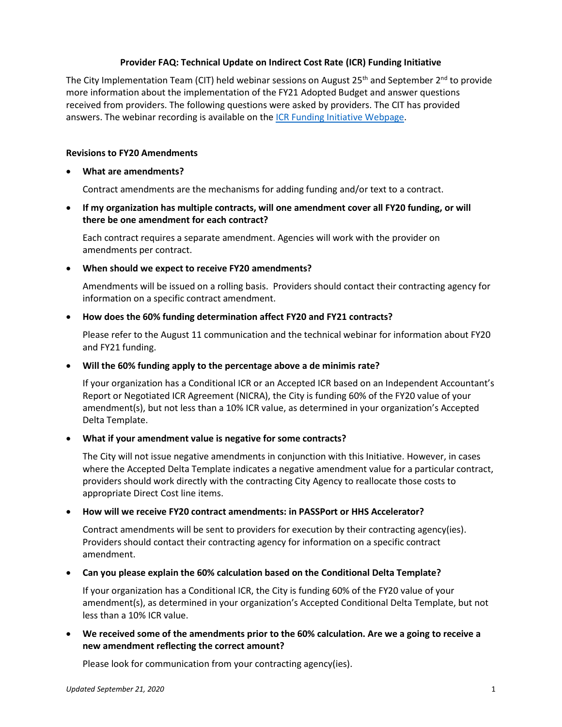# **Provider FAQ: Technical Update on Indirect Cost Rate (ICR) Funding Initiative**

The City Implementation Team (CIT) held webinar sessions on August 25<sup>th</sup> and September 2<sup>nd</sup> to provide more information about the implementation of the FY21 Adopted Budget and answer questions received from providers. The following questions were asked by providers. The CIT has provided answers. The webinar recording is available on th[e ICR Funding Initiative Webpage.](https://www1.nyc.gov/site/nonprofits/funded-providers/indirect-implementation.page)

# **Revisions to FY20 Amendments**

### • **What are amendments?**

Contract amendments are the mechanisms for adding funding and/or text to a contract.

• **If my organization has multiple contracts, will one amendment cover all FY20 funding, or will there be one amendment for each contract?** 

Each contract requires a separate amendment. Agencies will work with the provider on amendments per contract.

### • **When should we expect to receive FY20 amendments?**

Amendments will be issued on a rolling basis. Providers should contact their contracting agency for information on a specific contract amendment.

### • **How does the 60% funding determination affect FY20 and FY21 contracts?**

Please refer to the August 11 communication and the technical webinar for information about FY20 and FY21 funding.

### • **Will the 60% funding apply to the percentage above a de minimis rate?**

If your organization has a Conditional ICR or an Accepted ICR based on an Independent Accountant's Report or Negotiated ICR Agreement (NICRA), the City is funding 60% of the FY20 value of your amendment(s), but not less than a 10% ICR value, as determined in your organization's Accepted Delta Template.

# • **What if your amendment value is negative for some contracts?**

The City will not issue negative amendments in conjunction with this Initiative. However, in cases where the Accepted Delta Template indicates a negative amendment value for a particular contract, providers should work directly with the contracting City Agency to reallocate those costs to appropriate Direct Cost line items.

# • **How will we receive FY20 contract amendments: in PASSPort or HHS Accelerator?**

Contract amendments will be sent to providers for execution by their contracting agency(ies). Providers should contact their contracting agency for information on a specific contract amendment.

# • **Can you please explain the 60% calculation based on the Conditional Delta Template?**

If your organization has a Conditional ICR, the City is funding 60% of the FY20 value of your amendment(s), as determined in your organization's Accepted Conditional Delta Template, but not less than a 10% ICR value.

# • **We received some of the amendments prior to the 60% calculation. Are we a going to receive a new amendment reflecting the correct amount?**

Please look for communication from your contracting agency(ies).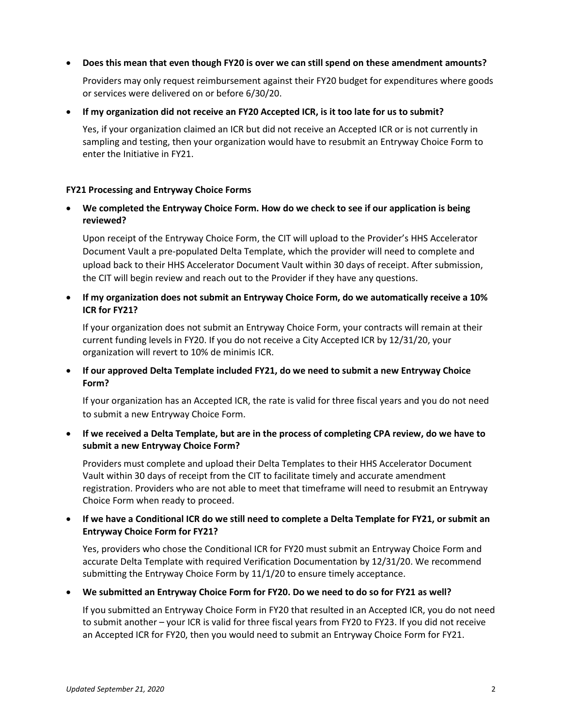• **Does this mean that even though FY20 is over we can still spend on these amendment amounts?**

Providers may only request reimbursement against their FY20 budget for expenditures where goods or services were delivered on or before 6/30/20.

• **If my organization did not receive an FY20 Accepted ICR, is it too late for us to submit?** 

Yes, if your organization claimed an ICR but did not receive an Accepted ICR or is not currently in sampling and testing, then your organization would have to resubmit an Entryway Choice Form to enter the Initiative in FY21.

### **FY21 Processing and Entryway Choice Forms**

• **We completed the Entryway Choice Form. How do we check to see if our application is being reviewed?**

Upon receipt of the Entryway Choice Form, the CIT will upload to the Provider's HHS Accelerator Document Vault a pre-populated Delta Template, which the provider will need to complete and upload back to their HHS Accelerator Document Vault within 30 days of receipt. After submission, the CIT will begin review and reach out to the Provider if they have any questions.

• **If my organization does not submit an Entryway Choice Form, do we automatically receive a 10% ICR for FY21?**

If your organization does not submit an Entryway Choice Form, your contracts will remain at their current funding levels in FY20. If you do not receive a City Accepted ICR by 12/31/20, your organization will revert to 10% de minimis ICR.

• **If our approved Delta Template included FY21, do we need to submit a new Entryway Choice Form?**

If your organization has an Accepted ICR, the rate is valid for three fiscal years and you do not need to submit a new Entryway Choice Form.

• **If we received a Delta Template, but are in the process of completing CPA review, do we have to submit a new Entryway Choice Form?**

Providers must complete and upload their Delta Templates to their HHS Accelerator Document Vault within 30 days of receipt from the CIT to facilitate timely and accurate amendment registration. Providers who are not able to meet that timeframe will need to resubmit an Entryway Choice Form when ready to proceed.

• **If we have a Conditional ICR do we still need to complete a Delta Template for FY21, or submit an Entryway Choice Form for FY21?** 

Yes, providers who chose the Conditional ICR for FY20 must submit an Entryway Choice Form and accurate Delta Template with required Verification Documentation by 12/31/20. We recommend submitting the Entryway Choice Form by 11/1/20 to ensure timely acceptance.

• **We submitted an Entryway Choice Form for FY20. Do we need to do so for FY21 as well?**

If you submitted an Entryway Choice Form in FY20 that resulted in an Accepted ICR, you do not need to submit another – your ICR is valid for three fiscal years from FY20 to FY23. If you did not receive an Accepted ICR for FY20, then you would need to submit an Entryway Choice Form for FY21.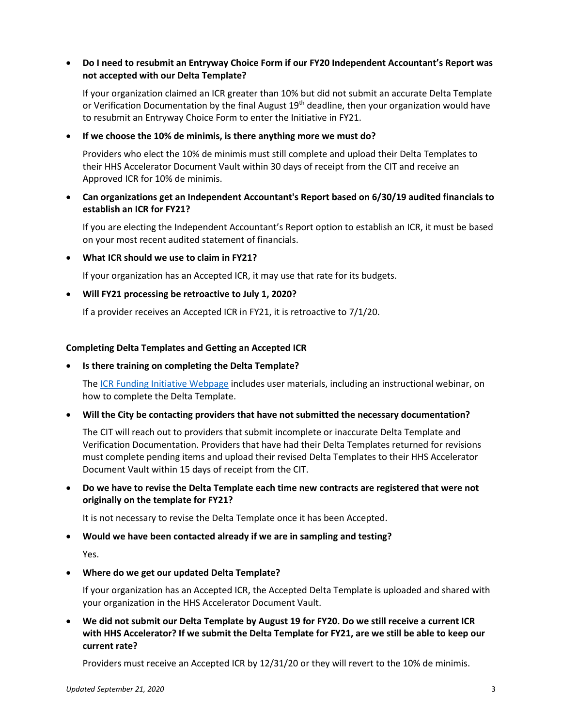# • **Do I need to resubmit an Entryway Choice Form if our FY20 Independent Accountant's Report was not accepted with our Delta Template?**

If your organization claimed an ICR greater than 10% but did not submit an accurate Delta Template or Verification Documentation by the final August 19<sup>th</sup> deadline, then your organization would have to resubmit an Entryway Choice Form to enter the Initiative in FY21.

### • **If we choose the 10% de minimis, is there anything more we must do?**

Providers who elect the 10% de minimis must still complete and upload their Delta Templates to their HHS Accelerator Document Vault within 30 days of receipt from the CIT and receive an Approved ICR for 10% de minimis.

# • **Can organizations get an Independent Accountant's Report based on 6/30/19 audited financials to establish an ICR for FY21?**

If you are electing the Independent Accountant's Report option to establish an ICR, it must be based on your most recent audited statement of financials.

• **What ICR should we use to claim in FY21?** 

If your organization has an Accepted ICR, it may use that rate for its budgets.

### • **Will FY21 processing be retroactive to July 1, 2020?**

If a provider receives an Accepted ICR in FY21, it is retroactive to 7/1/20.

#### **Completing Delta Templates and Getting an Accepted ICR**

#### • **Is there training on completing the Delta Template?**

The [ICR Funding Initiative Webpage](https://www1.nyc.gov/site/nonprofits/funded-providers/indirect-implementation.page) includes user materials, including an instructional webinar, on how to complete the Delta Template.

#### • **Will the City be contacting providers that have not submitted the necessary documentation?**

The CIT will reach out to providers that submit incomplete or inaccurate Delta Template and Verification Documentation. Providers that have had their Delta Templates returned for revisions must complete pending items and upload their revised Delta Templates to their HHS Accelerator Document Vault within 15 days of receipt from the CIT.

# • **Do we have to revise the Delta Template each time new contracts are registered that were not originally on the template for FY21?**

It is not necessary to revise the Delta Template once it has been Accepted.

#### • **Would we have been contacted already if we are in sampling and testing?**

Yes.

# • **Where do we get our updated Delta Template?**

If your organization has an Accepted ICR, the Accepted Delta Template is uploaded and shared with your organization in the HHS Accelerator Document Vault.

• **We did not submit our Delta Template by August 19 for FY20. Do we still receive a current ICR with HHS Accelerator? If we submit the Delta Template for FY21, are we still be able to keep our current rate?**

Providers must receive an Accepted ICR by 12/31/20 or they will revert to the 10% de minimis.